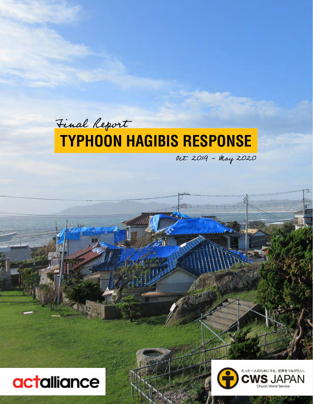### **TYPHOON HAGIBIS RESPONSE** Final Report

Oct. 2019 - May 2020



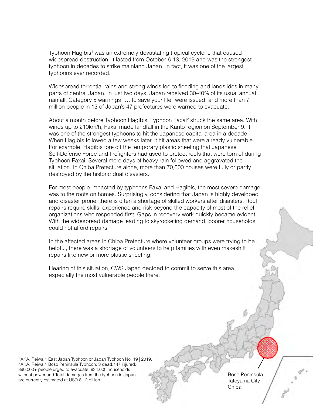Typhoon Hagibis<sup>1</sup> was an extremely devastating tropical cyclone that caused widespread destruction. It lasted from October 6-13, 2019 and was the strongest typhoon in decades to strike mainland Japan. In fact, it was one of the largest typhoons ever recorded.

Widespread torrential rains and strong winds led to flooding and landslides in many parts of central Japan. In just two days, Japan received 30-40% of its usual annual rainfall. Category 5 warnings "… to save your life" were issued, and more than 7 million people in 13 of Japan's 47 prefectures were warned to evacuate.

About a month before Typhoon Hagibis, Typhoon Faxai<sup>2</sup> struck the same area. With winds up to 210km/h, Faxai made landfall in the Kanto region on September 9. It was one of the strongest typhoons to hit the Japanese capital area in a decade. When Hagibis followed a few weeks later, it hit areas that were already vulnerable. For example, Hagibis tore off the temporary plastic sheeting that Japanese Self-Defense Force and firefighters had used to protect roofs that were torn of during Typhoon Faxai. Several more days of heavy rain followed and aggravated the situation. In Chiba Prefecture alone, more than 70,000 houses were fully or partly destroyed by the historic dual disasters.

For most people impacted by typhoons Faxai and Hagibis, the most severe damage was to the roofs on homes. Surprisingly, considering that Japan is highly developed and disaster prone, there is often a shortage of skilled workers after disasters. Roof repairs require skills, experience and risk beyond the capacity of most of the relief organizations who responded first. Gaps in recovery work quickly became evident. With the widespread damage leading to skyrocketing demand, poorer households could not afford repairs.

In the affected areas in Chiba Prefecture where volunteer groups were trying to be helpful, there was a shortage of volunteers to help families with even makeshift repairs like new or more plastic sheeting.

Hearing of this situation, CWS Japan decided to commit to serve this area, especially the most vulnerable people there.

1 AKA, Reiwa 1 East Japan Typhoon or Japan Typhoon No. 19 | 2019. 2 AKA, Reiwa 1 Boso Peninsula Typhoon: 3 dead;147 injured; 390,000+ people urged to evacuate; 934,000 households without power and Total damages from the typhoon in Japan are currently estimated at USD 8.12 billion.

Boso Peninsula Tateyama City Chiba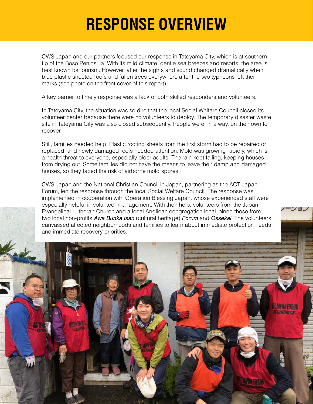## **RESPONSE OVERVIEW**

CWS Japan and our partners focused our response in Tateyama City, which is at southern tip of the Boso Peninsula. With its mild climate, gentle sea breezes and resorts, the area is best known for tourism. However, after the sights and sound changed dramatically when blue plastic sheeted roofs and fallen trees everywhere after the two typhoons left their marks (see photo on the front cover of this report).

A key barrier to timely response was a lack of both skilled responders and volunteers.

In Tateyama City, the situation was so dire that the local Social Welfare Council closed its volunteer center because there were no volunteers to deploy. The temporary disaster waste site in Tateyama City was also closed subsequently. People were, in a way, on their own to recover.

Still, families needed help. Plastic roofing sheets from the first storm had to be repaired or replaced, and newly damaged roofs needed attention. Mold was growing rapidly, which is a health threat to everyone, especially older adults. The rain kept falling, keeping houses from drying out. Some families did not have the means to leave their damp and damaged houses, so they faced the risk of airborne mold spores.

CWS Japan and the National Christian Council in Japan, partnering as the ACT Japan Forum, led the response through the local Social Welfare Council. The response was implemented in cooperation with Operation Blessing Japan, whose experienced staff were especially helpful in volunteer management. With their help, volunteers from the Japan Evangelical Lutheran Church and a local Anglican congregation local joined those from two local non-profits *Awa Bunka Isan* (cultural heritage) *Forum* and *Ossekai*. The volunteers canvassed affected neighborhoods and families to learn about immediate protection needs and immediate recovery priorities.

> **TAN MARIT** cialliance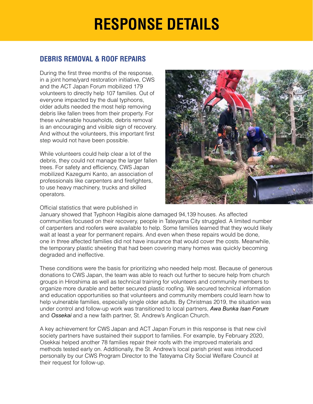## **RESPONSE DETAILS**

#### **DEBRIS REMOVAL & ROOF REPAIRS**

During the first three months of the response, in a joint home/yard restoration initiative, CWS and the ACT Japan Forum mobilized 179 volunteers to directly help 107 families. Out of everyone impacted by the dual typhoons, older adults needed the most help removing debris like fallen trees from their property. For these vulnerable households, debris removal is an encouraging and visible sign of recovery. And without the volunteers, this important first step would not have been possible.

While volunteers could help clear a lot of the debris, they could not manage the larger fallen trees. For safety and efficiency, CWS Japan mobilized Kazegumi Kanto, an association of professionals like carpenters and firefighters, to use heavy machinery, trucks and skilled operators.

Official statistics that were published in



January showed that Typhoon Hagibis alone damaged 94,139 houses. As affected communities focused on their recovery, people in Tateyama City struggled. A limited number of carpenters and roofers were available to help. Some families learned that they would likely wait at least a year for permanent repairs. And even when these repairs would be done, one in three affected families did not have insurance that would cover the costs. Meanwhile, the temporary plastic sheeting that had been covering many homes was quickly becoming degraded and ineffective.

These conditions were the basis for prioritizing who needed help most. Because of generous donations to CWS Japan, the team was able to reach out further to secure help from church groups in Hiroshima as well as technical training for volunteers and community members to organize more durable and better secured plastic roofing. We secured technical information and education opportunities so that volunteers and community members could learn how to help vulnerable families, especially single older adults. By Christmas 2019, the situation was under control and follow-up work was transitioned to local partners, *Awa Bunka Isan Forum* and *Ossekai* and a new faith partner, St. Andrew's Anglican Church.

A key achievement for CWS Japan and ACT Japan Forum in this response is that new civil society partners have sustained their support to families. For example, by February 2020, Osekkai helped another 78 families repair their roofs with the improved materials and methods tested early on. Additionally, the St. Andrew's local parish priest was introduced personally by our CWS Program Director to the Tateyama City Social Welfare Council at their request for follow-up.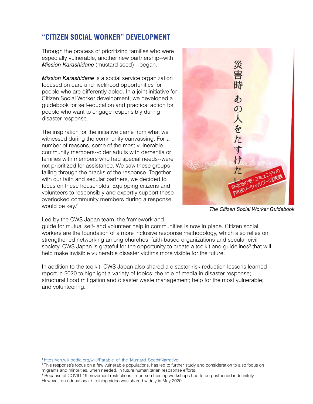#### **"CITIZEN SOCIAL WORKER" DEVELOPMENT**

Through the process of prioritizing families who were especially vulnerable, another new partnership--with **Mission Karashidane** (mustard seed)<sup>1</sup>--began.

*Mission Karashidane* is a social service organization focused on care and livelihood opportunities for people who are differently abled. In a joint initiative for Citizen Social Worker development, we developed a guidebook for self-education and practical action for people who want to engage responsibly during disaster response.

The inspiration for the initiative came from what we witnessed during the community canvassing. For a number of reasons, some of the most vulnerable community members--older adults with dementia or families with members who had special needs--were not prioritized for assistance. We saw these groups falling through the cracks of the response. Together with our faith and secular partners, we decided to focus on these households. Equipping citizens and volunteers to responsibly and expertly support these overlooked community members during a response would be key.<sup>2</sup>



*The Citizen Social Worker Guidebook*

#### Led by the CWS Japan team, the framework and

guide for mutual self- and volunteer help in communities is now in place. Citizen social workers are the foundation of a more inclusive response methodology, which also relies on strengthened networking among churches, faith-based organizations and secular civil society. CWS Japan is grateful for the opportunity to create a toolkit and guidelines<sup>3</sup> that will help make invisible vulnerable disaster victims more visible for the future.

In addition to the toolkit, CWS Japan also shared a disaster risk reduction lessons learned report in 2020 to highlight a variety of topics: the role of media in disaster response; structural flood mitigation and disaster waste management; help for the most vulnerable; and volunteering.

- <sup>2</sup>This response's focus on a few vulnerable populations, has led to further study and consideration to also focus on migrants and minorities, when needed, in future humanitarian respsonse efforts.
- <sup>3</sup> Because of COVID-19 movement restrictions, in-person training workshops had to be postponed indefinitely. However, an educational / training video was shared widely in May 2020.

<sup>&</sup>lt;sup>1</sup> [https://en.wikipedia.org/wiki/Parable\\_of\\_the\\_Mustard\\_Seed#Narrative](https://en.wikipedia.org/wiki/Parable_of_the_Mustard_Seed#Narrative)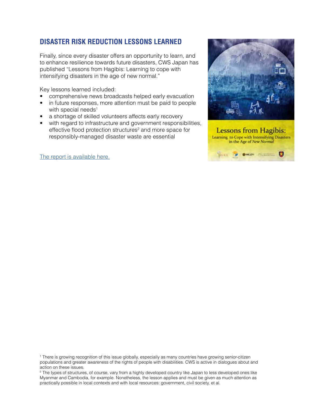### **DISASTER RISK REDUCTION LESSONS LEARNED**

Finally, since every disaster offers an opportunity to learn, and to enhance resilience towards future disasters, CWS Japan has published "Lessons from Hagibis: Learning to cope with intensifying disasters in the age of new normal."

Key lessons learned included:

- comprehensive news broadcasts helped early evacuation
- in future responses, more attention must be paid to people with special needs<sup>1</sup>
- a shortage of skilled volunteers affects early recovery
- with regard to infrastructure and government responsibilities, effective flood protection structures<sup>2</sup> and more space for responsibly-managed disaster waste are essential

[The report is available here.](https://www.preventionweb.net/publications/view/70765)





<sup>1</sup> There is growing recognition of this issue globally, especially as many countries have growing senior-citizen populations and greater awareness of the rights of people with disabilities. CWS is active in dialogues about and action on these issues.

<sup>2</sup> The types of structures, of course, vary from a highly developed country like Japan to less developed ones like Myanmar and Cambodia, for example. Nonetheless, the lesson applies and must be given as much attention as practically possible in local contexts and with local resources: government, civil society, et al.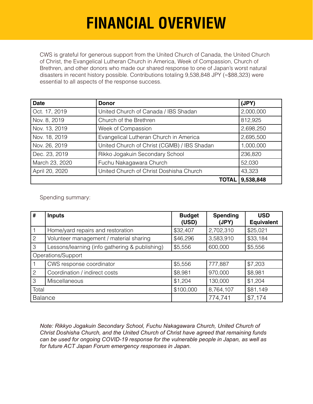# **FINANCIAL OVERVIEW**

CWS is grateful for generous support from the United Church of Canada, the United Church of Christ, the Evangelical Lutheran Church in America, Week of Compassion, Church of Brethren, and other donors who made our shared response to one of Japan's worst natural disasters in recent history possible. Contributions totaling 9,538,848 JPY (≈\$88,323) were essential to all aspects of the response success.

| <b>Date</b>    | <b>Donor</b>                                | (JPY)     |
|----------------|---------------------------------------------|-----------|
| Oct. 17, 2019  | United Church of Canada / IBS Shadan        |           |
| Nov. 8, 2019   | Church of the Brethren                      | 812,925   |
| Nov. 13, 2019  | Week of Compassion                          | 2,698,250 |
| Nov. 18, 2019  | Evangelical Lutheran Church in America      | 2,695,500 |
| Nov. 26, 2019  | United Church of Christ (CGMB) / IBS Shadan | 1,000,000 |
| Dec. 23, 2019  | Rikko Jogakuin Secondary School             | 236,820   |
| March 23, 2020 | Fuchu Nakagawara Church                     | 52,030    |
| April 20, 2020 | United Church of Christ Doshisha Church     |           |
|                | <b>TOTAL I</b>                              | 9,538,848 |

Spending summary:

| #                  | <b>Inputs</b>                                  | <b>Budget</b><br>(USD) | <b>Spending</b><br>(JPY) | <b>USD</b><br><b>Equivalent</b> |  |
|--------------------|------------------------------------------------|------------------------|--------------------------|---------------------------------|--|
|                    | Home/yard repairs and restoration              | \$32,407               | 2,702,310                | \$25,021                        |  |
| $\mathbf{2}$       | Volunteer management / material sharing        | \$46,296               | 3,583,910                | \$33,184                        |  |
| 3                  | Lessons/learning (info gathering & publishing) | \$5,556                | 600,000                  | \$5,556                         |  |
| Operations/Support |                                                |                        |                          |                                 |  |
|                    | CWS response coordinator                       | \$5,556                | 777,887                  | \$7,203                         |  |
| $\mathbf{2}$       | Coordination / indirect costs                  | \$8,981                | 970,000                  | \$8,981                         |  |
| 3                  | <b>Miscellaneous</b>                           | \$1,204                | 130,000                  | \$1,204                         |  |
| Total              |                                                | \$100,000              | 8,764,107                | \$81,149                        |  |
| <b>Balance</b>     |                                                |                        | 774,741                  | \$7,174                         |  |

*Note: Rikkyo Jogakuin Secondary School, Fuchu Nakagawara Church, United Church of Christ Doshisha Church, and the United Church of Christ have agreed that remaining funds can be used for ongoing COVID-19 response for the vulnerable people in Japan, as well as for future ACT Japan Forum emergency responses in Japan.*